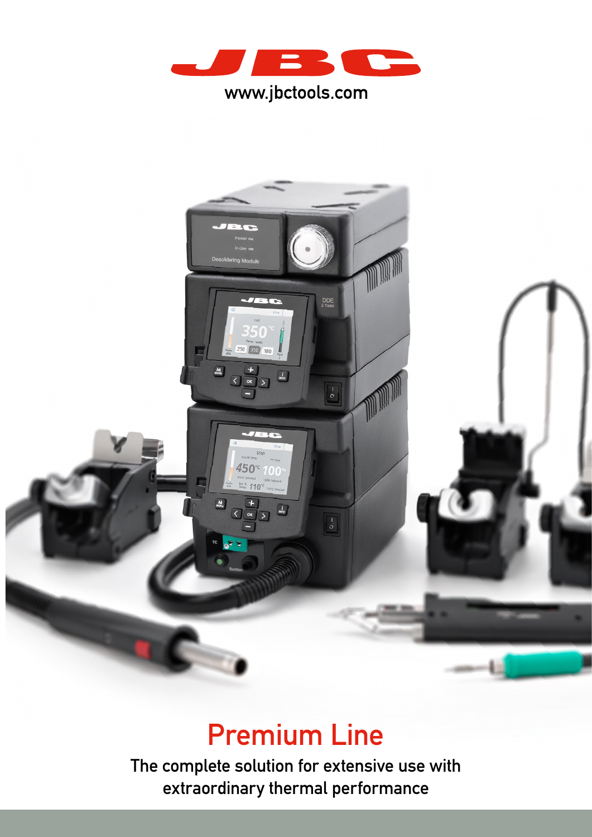



# Premium Line

The complete solution for extensive use with extraordinary thermal performance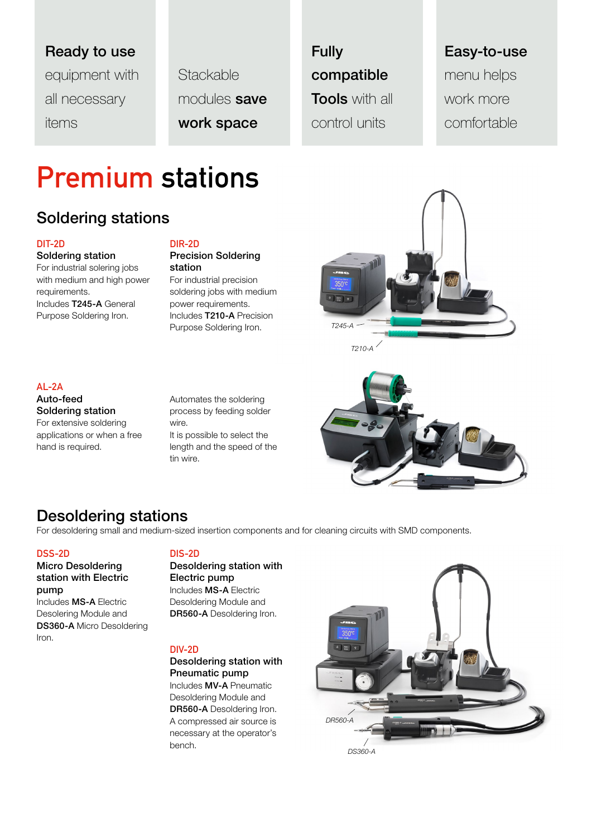## Ready to use

equipment with all necessary items

**Stackable** modules save work space

Fully compatible **Tools** with all control units

## Easy-to-use menu helps

work more comfortable

# Premium stations

### Soldering stations

### DIT-2D

### Soldering station For industrial solering jobs with medium and high power

requirements. Includes T245-A General Purpose Soldering Iron.

#### DIR-2D Precision Soldering station

For industrial precision soldering jobs with medium power requirements. Includes T210-A Precision Purpose Soldering Iron.



### AL-2A

Auto-feed Soldering station For extensive soldering applications or when a free hand is required.

Automates the soldering process by feeding solder wire. It is possible to select the length and the speed of the tin wire.

### Desoldering stations

For desoldering small and medium-sized insertion components and for cleaning circuits with SMD components.

### DSS-2D

### Micro Desoldering station with Electric pump

Includes MS-A Electric Desolering Module and DS360-A Micro Desoldering Iron.

### DIS-2D

Desoldering station with Electric pump Includes MS-A Electric Desoldering Module and DR560-A Desoldering Iron.

### DIV-2D

Desoldering station with Pneumatic pump Includes MV-A Pneumatic Desoldering Module and DR560-A Desoldering Iron. A compressed air source is necessary at the operator's bench.

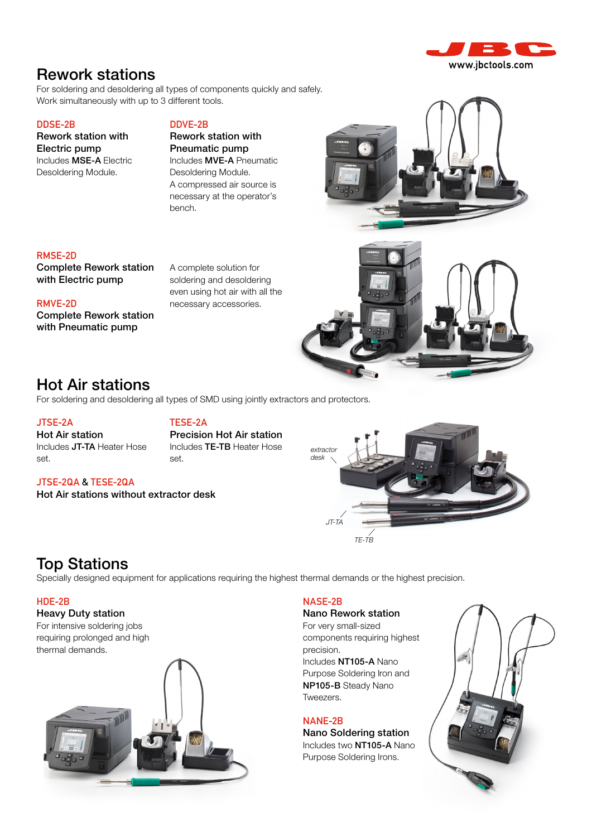

### Rework stations

For soldering and desoldering all types of components quickly and safely. Work simultaneously with up to 3 different tools.

#### DDSE-2B

Rework station with Electric pump Includes MSE-A Electric Desoldering Module.

### DDVE-2B

Rework station with Pneumatic pump Includes MVE-A Pneumatic Desoldering Module. A compressed air source is necessary at the operator's bench.

### RMSE-2D

Complete Rework station with Electric pump

#### RMVE-2D

Complete Rework station with Pneumatic pump

A complete solution for soldering and desoldering even using hot air with all the necessary accessories.



### Hot Air stations

Includes JT-TA Heater Hose

For soldering and desoldering all types of SMD using jointly extractors and protectors.

#### JTSE-2A

set.

Hot Air station

### TESE-2A

Precision Hot Air station Includes TE-TB Heater Hose set.

### JTSE-2QA & TESE-2QA

Hot Air stations without extractor desk



### Top Stations

Specially designed equipment for applications requiring the highest thermal demands or the highest precision.

### HDE-2B

Heavy Duty station For intensive soldering jobs requiring prolonged and high



### NASE-2B

Nano Rework station For very small-sized components requiring highest precision. Includes NT105-A Nano Purpose Soldering Iron and NP105-B Steady Nano Tweezers.

NANE-2B Nano Soldering station Includes two NT105-A Nano Purpose Soldering Irons.